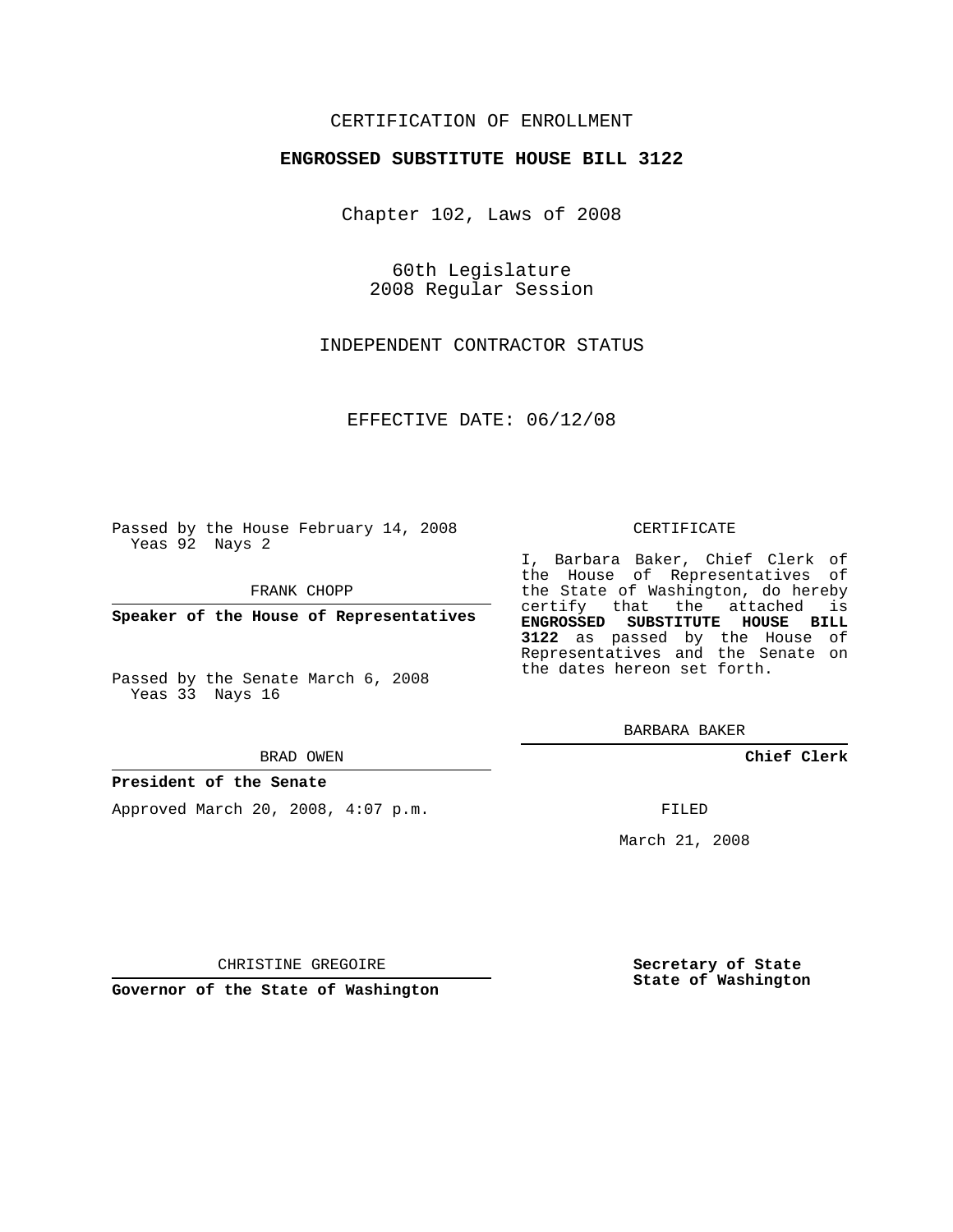# CERTIFICATION OF ENROLLMENT

### **ENGROSSED SUBSTITUTE HOUSE BILL 3122**

Chapter 102, Laws of 2008

60th Legislature 2008 Regular Session

INDEPENDENT CONTRACTOR STATUS

EFFECTIVE DATE: 06/12/08

Passed by the House February 14, 2008 Yeas 92 Nays 2

FRANK CHOPP

**Speaker of the House of Representatives**

Passed by the Senate March 6, 2008 Yeas 33 Nays 16

#### BRAD OWEN

### **President of the Senate**

Approved March 20, 2008, 4:07 p.m.

#### CERTIFICATE

I, Barbara Baker, Chief Clerk of the House of Representatives of the State of Washington, do hereby certify that the attached is **ENGROSSED SUBSTITUTE HOUSE BILL 3122** as passed by the House of Representatives and the Senate on the dates hereon set forth.

BARBARA BAKER

**Chief Clerk**

FILED

March 21, 2008

CHRISTINE GREGOIRE

**Governor of the State of Washington**

**Secretary of State State of Washington**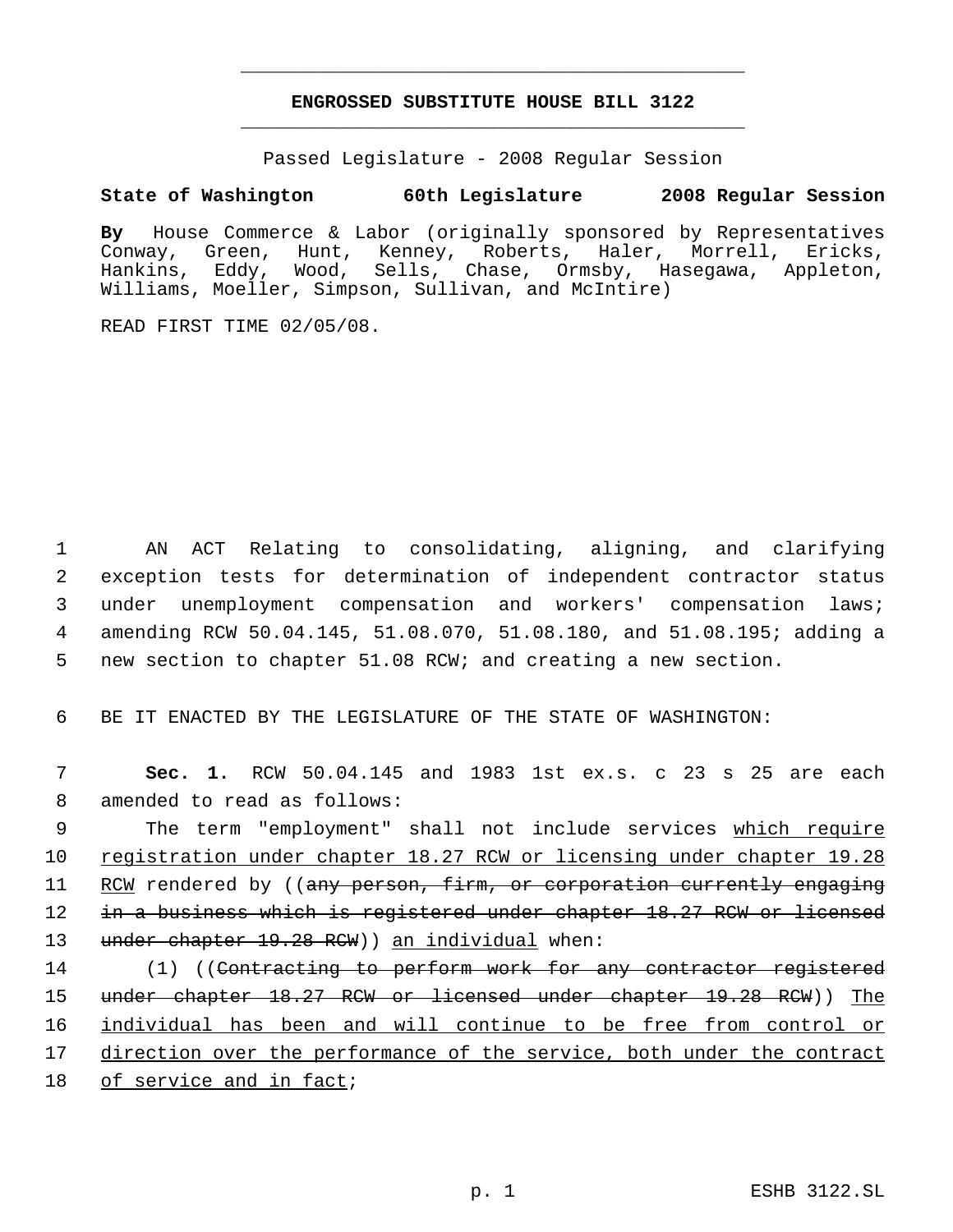# **ENGROSSED SUBSTITUTE HOUSE BILL 3122** \_\_\_\_\_\_\_\_\_\_\_\_\_\_\_\_\_\_\_\_\_\_\_\_\_\_\_\_\_\_\_\_\_\_\_\_\_\_\_\_\_\_\_\_\_

\_\_\_\_\_\_\_\_\_\_\_\_\_\_\_\_\_\_\_\_\_\_\_\_\_\_\_\_\_\_\_\_\_\_\_\_\_\_\_\_\_\_\_\_\_

Passed Legislature - 2008 Regular Session

## **State of Washington 60th Legislature 2008 Regular Session**

**By** House Commerce & Labor (originally sponsored by Representatives Conway, Green, Hunt, Kenney, Roberts, Haler, Morrell, Ericks, Hankins, Eddy, Wood, Sells, Chase, Ormsby, Hasegawa, Appleton, Williams, Moeller, Simpson, Sullivan, and McIntire)

READ FIRST TIME 02/05/08.

 AN ACT Relating to consolidating, aligning, and clarifying exception tests for determination of independent contractor status under unemployment compensation and workers' compensation laws; amending RCW 50.04.145, 51.08.070, 51.08.180, and 51.08.195; adding a new section to chapter 51.08 RCW; and creating a new section.

6 BE IT ENACTED BY THE LEGISLATURE OF THE STATE OF WASHINGTON:

 7 **Sec. 1.** RCW 50.04.145 and 1983 1st ex.s. c 23 s 25 are each 8 amended to read as follows:

9 The term "employment" shall not include services which require 10 registration under chapter 18.27 RCW or licensing under chapter 19.28 11 RCW rendered by ((any person, firm, or corporation currently engaging 12 in a business which is registered under chapter 18.27 RCW or licensed 13 under chapter 19.28 RCW) an individual when:

14 (1) ((Contracting to perform work for any contractor registered 15 under chapter 18.27 RCW or licensed under chapter 19.28 RCW)) The 16 individual has been and will continue to be free from control or 17 direction over the performance of the service, both under the contract 18 of service and in fact;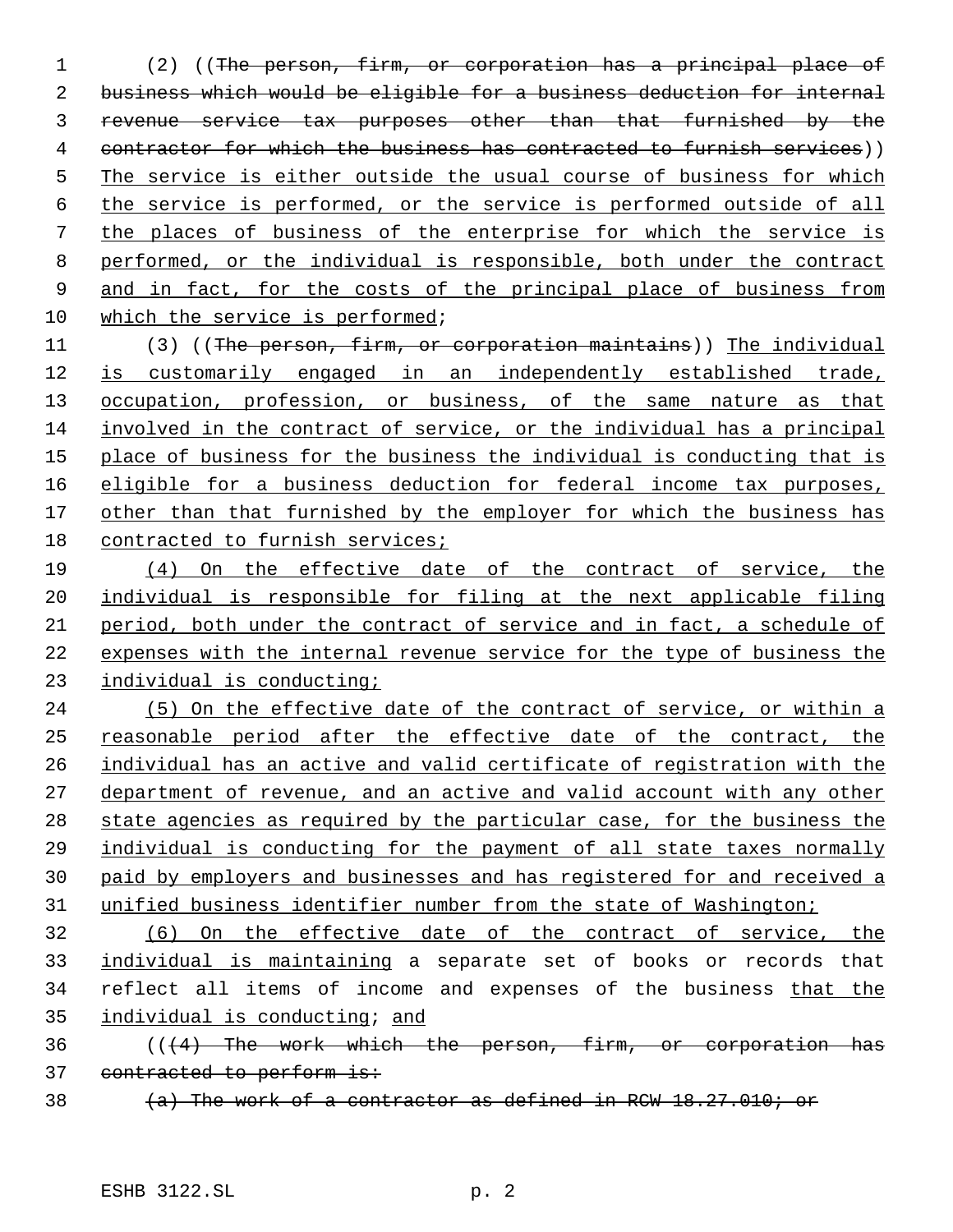(2) ((The person, firm, or corporation has a principal place of business which would be eligible for a business deduction for internal revenue service tax purposes other than that furnished by the 4 contractor for which the business has contracted to furnish services)) The service is either outside the usual course of business for which the service is performed, or the service is performed outside of all the places of business of the enterprise for which the service is performed, or the individual is responsible, both under the contract 9 and in fact, for the costs of the principal place of business from 10 which the service is performed;

11 (3) ((The person, firm, or corporation maintains)) The individual is customarily engaged in an independently established trade, 13 occupation, profession, or business, of the same nature as that involved in the contract of service, or the individual has a principal place of business for the business the individual is conducting that is eligible for a business deduction for federal income tax purposes, 17 other than that furnished by the employer for which the business has contracted to furnish services;

 (4) On the effective date of the contract of service, the individual is responsible for filing at the next applicable filing period, both under the contract of service and in fact, a schedule of expenses with the internal revenue service for the type of business the individual is conducting;

 (5) On the effective date of the contract of service, or within a reasonable period after the effective date of the contract, the individual has an active and valid certificate of registration with the department of revenue, and an active and valid account with any other state agencies as required by the particular case, for the business the individual is conducting for the payment of all state taxes normally paid by employers and businesses and has registered for and received a 31 unified business identifier number from the state of Washington;

 (6) On the effective date of the contract of service, the individual is maintaining a separate set of books or records that 34 reflect all items of income and expenses of the business that the 35 individual is conducting; and

 (( $\left(4\right)$  The work which the person, firm, or corporation has 37 contracted to perform is:

 $(a)$  The work of a contractor as defined in RCW 18.27.010; or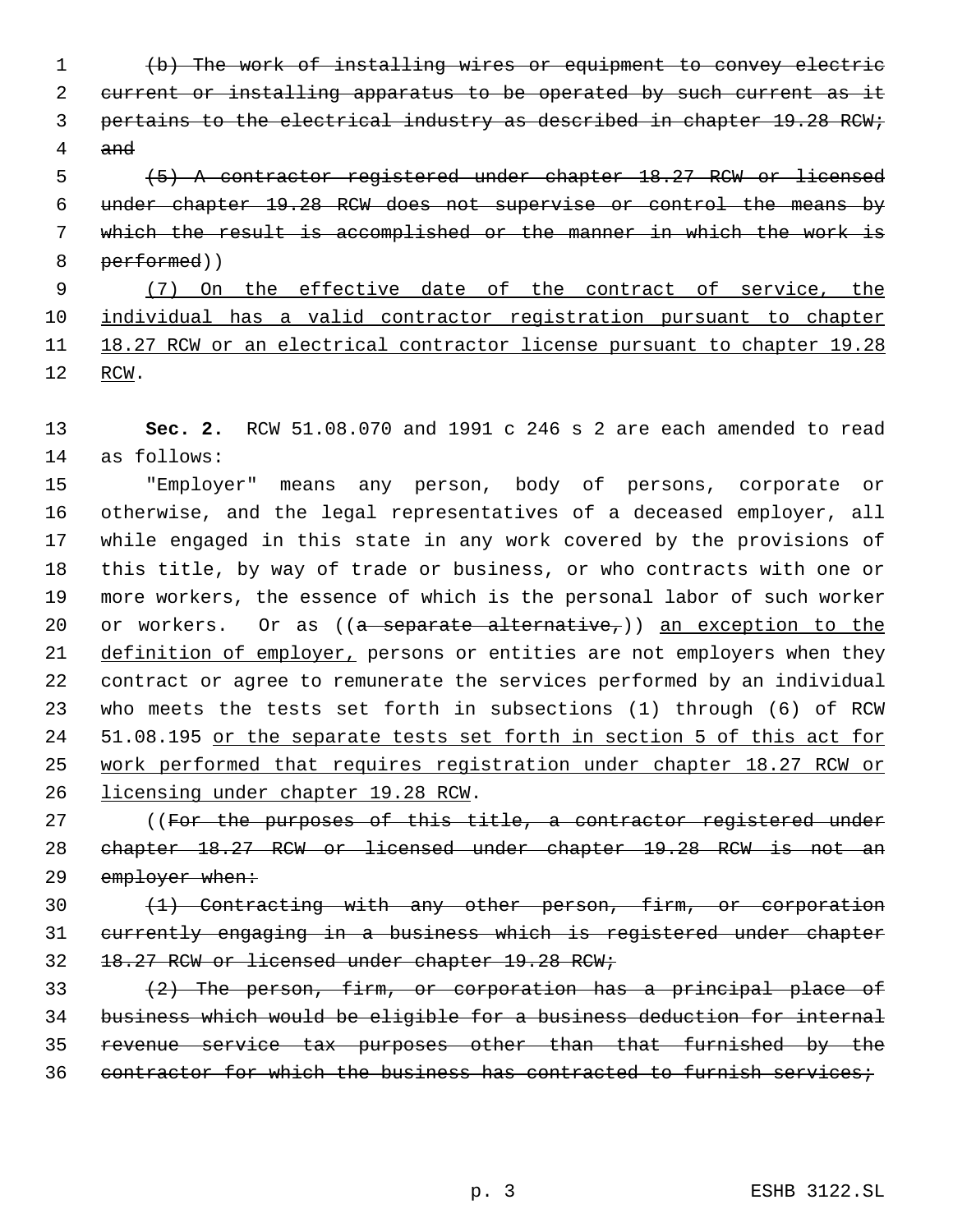|    | (b) The work of installing wires or equipment to convey electric       |
|----|------------------------------------------------------------------------|
| 2  | current or installing apparatus to be operated by such current as it   |
|    | pertains to the electrical industry as described in chapter 19.28 RCW; |
| 4  | and                                                                    |
| 5  | (5) A contractor registered under chapter 18.27 RCW or licensed        |
| 6  | under chapter 19.28 RCW does not supervise or control the means by     |
|    | which the result is accomplished or the manner in which the work is    |
| 8  | performed))                                                            |
| 9  | On the effective date of the contract of service, the                  |
| 10 | individual has a valid contractor registration pursuant to chapter     |

 18.27 RCW or an electrical contractor license pursuant to chapter 19.28 RCW.

 **Sec. 2.** RCW 51.08.070 and 1991 c 246 s 2 are each amended to read as follows:

 "Employer" means any person, body of persons, corporate or otherwise, and the legal representatives of a deceased employer, all while engaged in this state in any work covered by the provisions of this title, by way of trade or business, or who contracts with one or more workers, the essence of which is the personal labor of such worker 20 or workers. Or as  $((a$  separate alternative,)) an exception to the 21 definition of employer, persons or entities are not employers when they contract or agree to remunerate the services performed by an individual who meets the tests set forth in subsections (1) through (6) of RCW 51.08.195 or the separate tests set forth in section 5 of this act for work performed that requires registration under chapter 18.27 RCW or licensing under chapter 19.28 RCW.

27 ((For the purposes of this title, a contractor registered under chapter 18.27 RCW or licensed under chapter 19.28 RCW is not an 29 employer when:

 $(1)$  Contracting with any other person, firm, or corporation currently engaging in a business which is registered under chapter 18.27 RCW or licensed under chapter 19.28 RCW;

 $(2)$  The person, firm, or corporation has a principal place of business which would be eligible for a business deduction for internal revenue service tax purposes other than that furnished by the contractor for which the business has contracted to furnish services;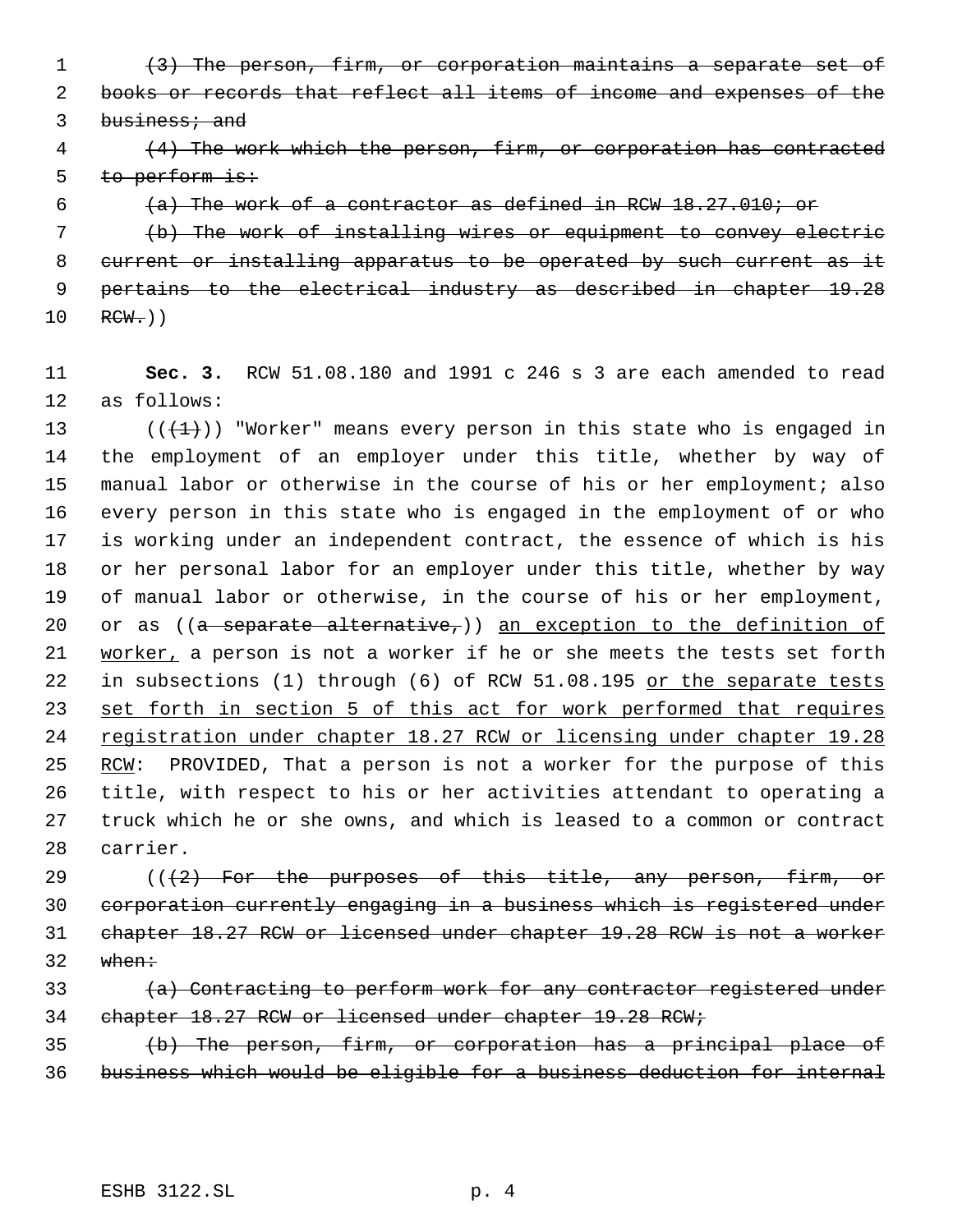(3) The person, firm, or corporation maintains a separate set of books or records that reflect all items of income and expenses of the 3 business; and

 (4) The work which the person, firm, or corporation has contracted 5 to perform is:

 $(a)$  The work of a contractor as defined in RCW 18.27.010; or

 (b) The work of installing wires or equipment to convey electric current or installing apparatus to be operated by such current as it pertains to the electrical industry as described in chapter 19.28 10 RCW.))

 **Sec. 3.** RCW 51.08.180 and 1991 c 246 s 3 are each amended to read as follows:

13 ( $(\overline{+1})$ ) "Worker" means every person in this state who is engaged in the employment of an employer under this title, whether by way of manual labor or otherwise in the course of his or her employment; also every person in this state who is engaged in the employment of or who is working under an independent contract, the essence of which is his or her personal labor for an employer under this title, whether by way of manual labor or otherwise, in the course of his or her employment, 20 or as  $((a)$  separate alternative,)) an exception to the definition of 21 worker, a person is not a worker if he or she meets the tests set forth 22 in subsections (1) through (6) of RCW 51.08.195 or the separate tests set forth in section 5 of this act for work performed that requires registration under chapter 18.27 RCW or licensing under chapter 19.28 25 RCW: PROVIDED, That a person is not a worker for the purpose of this title, with respect to his or her activities attendant to operating a truck which he or she owns, and which is leased to a common or contract carrier.

 $((2)$  For the purposes of this title, any person, firm, or corporation currently engaging in a business which is registered under chapter 18.27 RCW or licensed under chapter 19.28 RCW is not a worker when:

33  $(a)$  Contracting to perform work for any contractor registered under chapter 18.27 RCW or licensed under chapter 19.28 RCW;

 (b) The person, firm, or corporation has a principal place of business which would be eligible for a business deduction for internal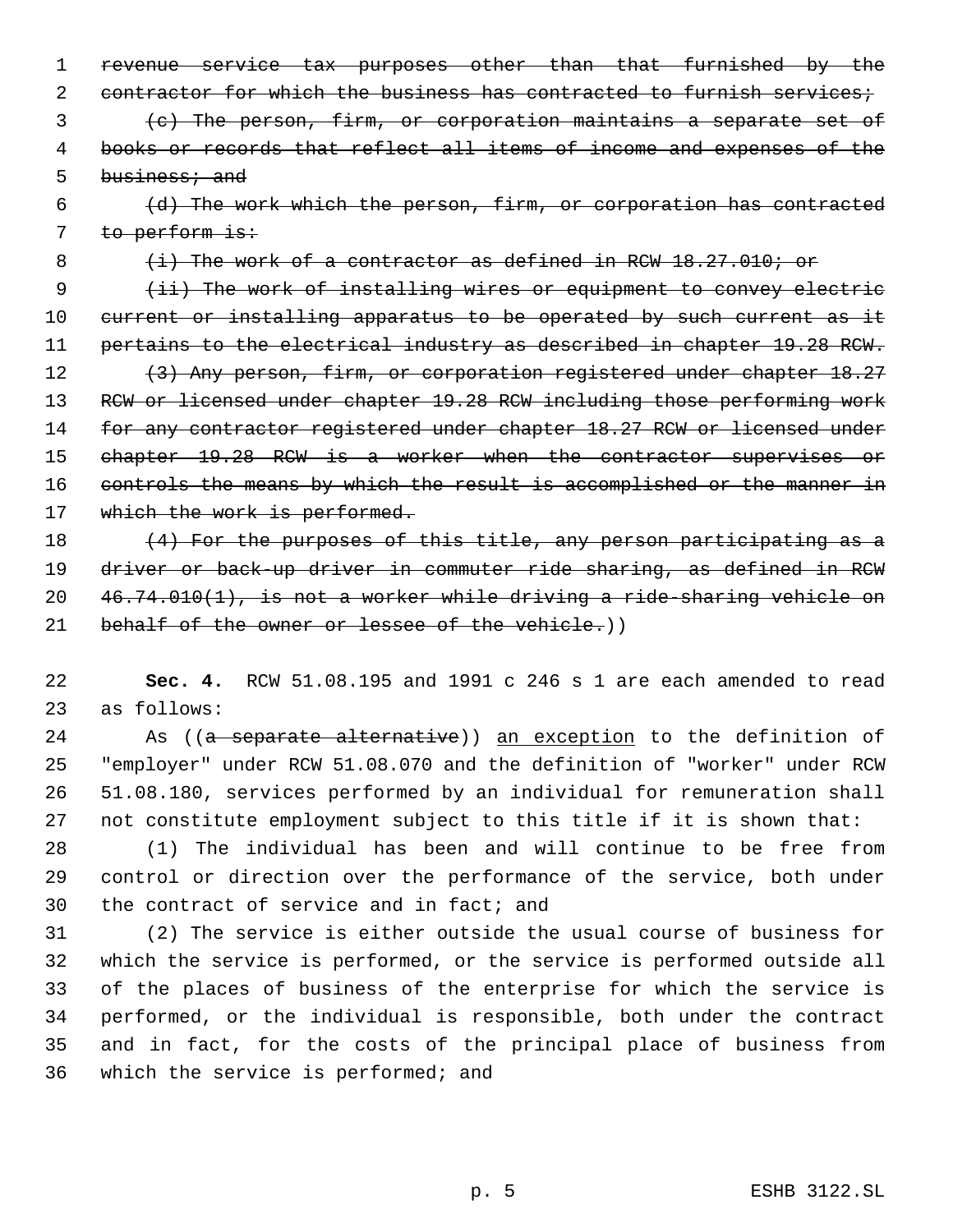revenue service tax purposes other than that furnished by the contractor for which the business has contracted to furnish services; (c) The person, firm, or corporation maintains a separate set of 4 books or records that reflect all items of income and expenses of the business; and

 (d) The work which the person, firm, or corporation has contracted 7 to perform is:

8 (i) The work of a contractor as defined in RCW 18.27.010; or

9 (ii) The work of installing wires or equipment to convey electric current or installing apparatus to be operated by such current as it pertains to the electrical industry as described in chapter 19.28 RCW. 12 (3) Any person, firm, or corporation registered under chapter 18.27 13 RCW or licensed under chapter 19.28 RCW including those performing work 14 for any contractor registered under chapter 18.27 RCW or licensed under chapter 19.28 RCW is a worker when the contractor supervises or 16 controls the means by which the result is accomplished or the manner in 17 which the work is performed.

 $(4)$  For the purposes of this title, any person participating as a driver or back-up driver in commuter ride sharing, as defined in RCW 46.74.010(1), is not a worker while driving a ride-sharing vehicle on 21 behalf of the owner or lessee of the vehicle.))

 **Sec. 4.** RCW 51.08.195 and 1991 c 246 s 1 are each amended to read as follows:

24 As ((a separate alternative)) an exception to the definition of "employer" under RCW 51.08.070 and the definition of "worker" under RCW 51.08.180, services performed by an individual for remuneration shall not constitute employment subject to this title if it is shown that:

 (1) The individual has been and will continue to be free from control or direction over the performance of the service, both under the contract of service and in fact; and

 (2) The service is either outside the usual course of business for which the service is performed, or the service is performed outside all of the places of business of the enterprise for which the service is performed, or the individual is responsible, both under the contract and in fact, for the costs of the principal place of business from which the service is performed; and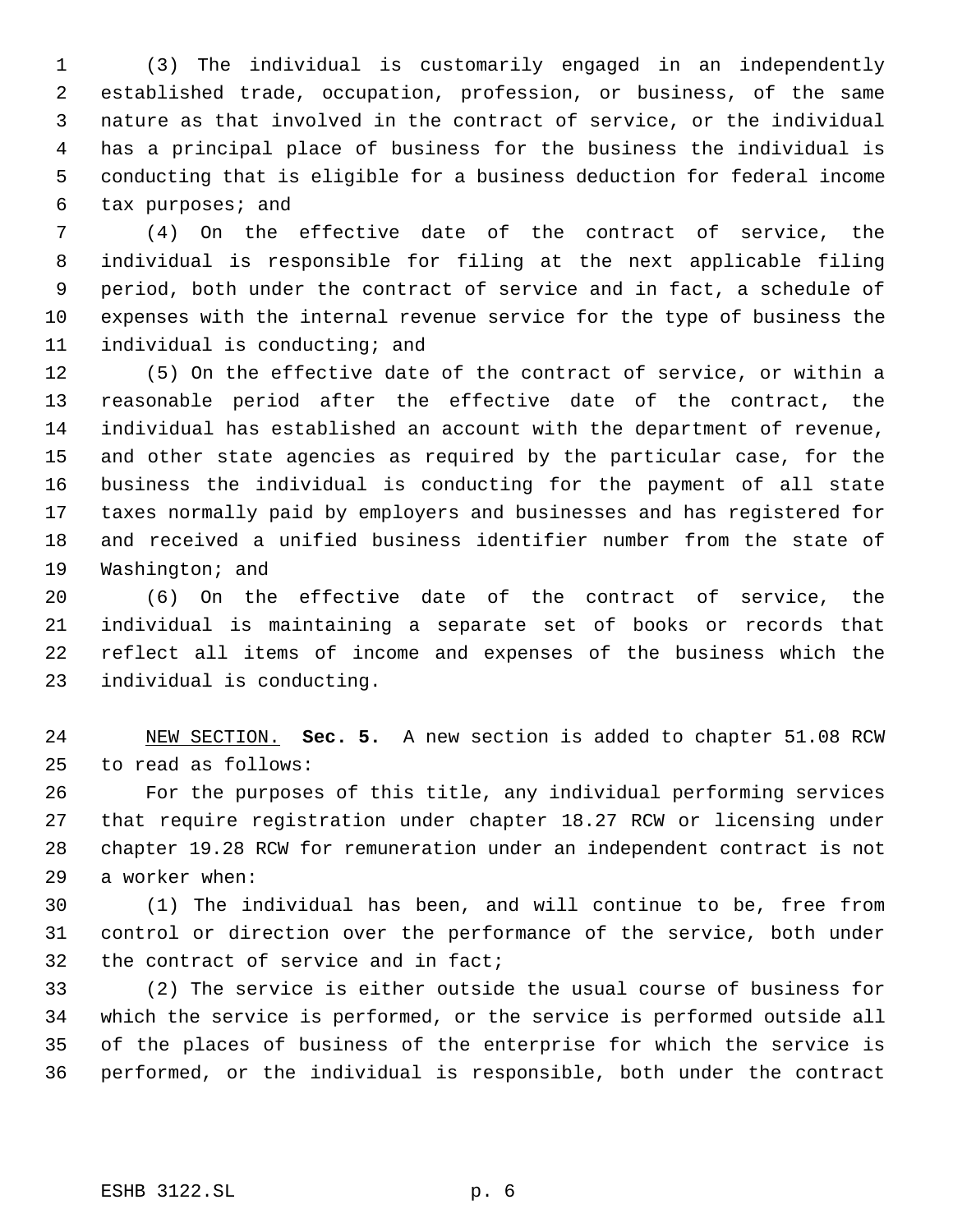(3) The individual is customarily engaged in an independently established trade, occupation, profession, or business, of the same nature as that involved in the contract of service, or the individual has a principal place of business for the business the individual is conducting that is eligible for a business deduction for federal income tax purposes; and

 (4) On the effective date of the contract of service, the individual is responsible for filing at the next applicable filing period, both under the contract of service and in fact, a schedule of expenses with the internal revenue service for the type of business the individual is conducting; and

 (5) On the effective date of the contract of service, or within a reasonable period after the effective date of the contract, the individual has established an account with the department of revenue, and other state agencies as required by the particular case, for the business the individual is conducting for the payment of all state taxes normally paid by employers and businesses and has registered for and received a unified business identifier number from the state of Washington; and

 (6) On the effective date of the contract of service, the individual is maintaining a separate set of books or records that reflect all items of income and expenses of the business which the individual is conducting.

 NEW SECTION. **Sec. 5.** A new section is added to chapter 51.08 RCW to read as follows:

 For the purposes of this title, any individual performing services that require registration under chapter 18.27 RCW or licensing under chapter 19.28 RCW for remuneration under an independent contract is not a worker when:

 (1) The individual has been, and will continue to be, free from control or direction over the performance of the service, both under 32 the contract of service and in fact;

 (2) The service is either outside the usual course of business for which the service is performed, or the service is performed outside all of the places of business of the enterprise for which the service is performed, or the individual is responsible, both under the contract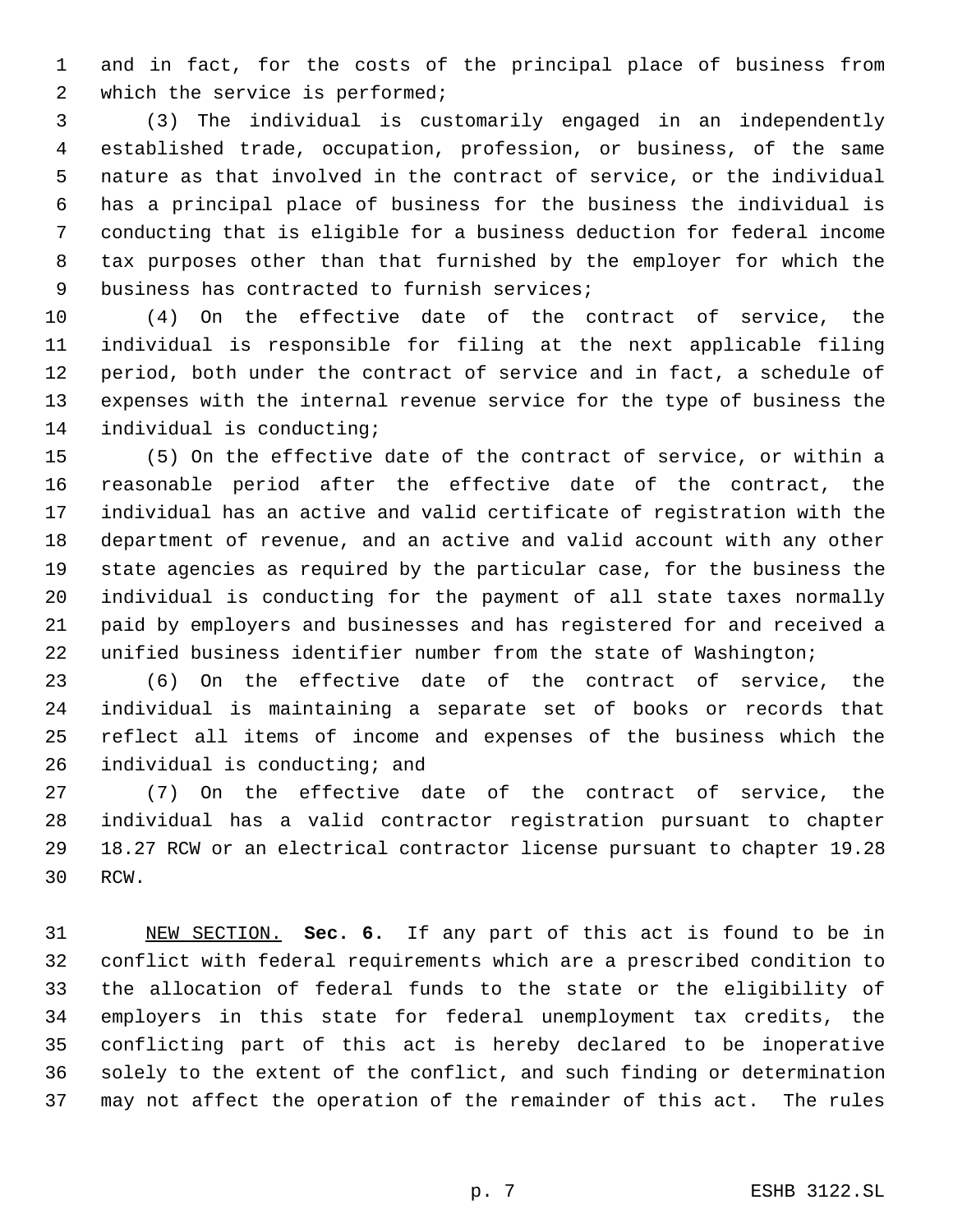and in fact, for the costs of the principal place of business from which the service is performed;

 (3) The individual is customarily engaged in an independently established trade, occupation, profession, or business, of the same nature as that involved in the contract of service, or the individual has a principal place of business for the business the individual is conducting that is eligible for a business deduction for federal income tax purposes other than that furnished by the employer for which the business has contracted to furnish services;

 (4) On the effective date of the contract of service, the individual is responsible for filing at the next applicable filing period, both under the contract of service and in fact, a schedule of expenses with the internal revenue service for the type of business the individual is conducting;

 (5) On the effective date of the contract of service, or within a reasonable period after the effective date of the contract, the individual has an active and valid certificate of registration with the department of revenue, and an active and valid account with any other state agencies as required by the particular case, for the business the individual is conducting for the payment of all state taxes normally paid by employers and businesses and has registered for and received a unified business identifier number from the state of Washington;

 (6) On the effective date of the contract of service, the individual is maintaining a separate set of books or records that reflect all items of income and expenses of the business which the individual is conducting; and

 (7) On the effective date of the contract of service, the individual has a valid contractor registration pursuant to chapter 18.27 RCW or an electrical contractor license pursuant to chapter 19.28 RCW.

 NEW SECTION. **Sec. 6.** If any part of this act is found to be in conflict with federal requirements which are a prescribed condition to the allocation of federal funds to the state or the eligibility of employers in this state for federal unemployment tax credits, the conflicting part of this act is hereby declared to be inoperative solely to the extent of the conflict, and such finding or determination may not affect the operation of the remainder of this act. The rules